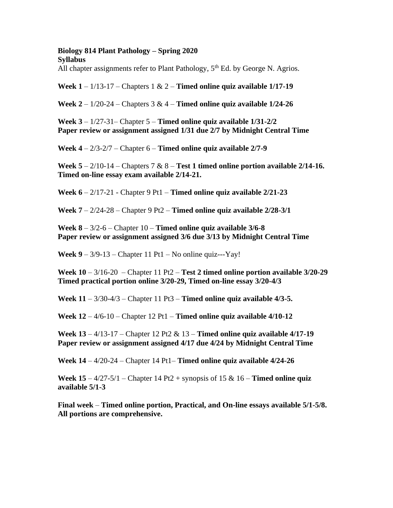### **Biology 814 Plant Pathology – Spring 2020 Syllabus**

All chapter assignments refer to Plant Pathology,  $5<sup>th</sup>$  Ed. by George N. Agrios.

**Week 1** – 1/13-17 – Chapters 1 & 2 – **Timed online quiz available 1/17-19**

**Week 2** – 1/20-24 – Chapters 3 & 4 – **Timed online quiz available 1/24-26**

**Week 3** – 1/27-31– Chapter 5 – **Timed online quiz available 1/31-2/2 Paper review or assignment assigned 1/31 due 2/7 by Midnight Central Time**

**Week 4** – 2/3-2/7 – Chapter 6 – **Timed online quiz available 2/7-9**

**Week 5** – 2/10-14 – Chapters 7 & 8 – **Test 1 timed online portion available 2/14-16. Timed on-line essay exam available 2/14-21.**

**Week 6** – 2/17-21 - Chapter 9 Pt1 – **Timed online quiz available 2/21-23**

**Week 7** – 2/24-28 – Chapter 9 Pt2 – **Timed online quiz available 2/28-3/1**

**Week 8** – 3/2-6 – Chapter 10 – **Timed online quiz available 3/6-8 Paper review or assignment assigned 3/6 due 3/13 by Midnight Central Time**

**Week 9** – 3/9-13 – Chapter 11 Pt1 – No online quiz---Yay!

**Week 10** – 3/16-20 – Chapter 11 Pt2 – **Test 2 timed online portion available 3/20-29 Timed practical portion online 3/20-29, Timed on-line essay 3/20-4/3**

**Week 11** – 3/30-4/3 – Chapter 11 Pt3 – **Timed online quiz available 4/3-5.**

**Week 12** – 4/6-10 – Chapter 12 Pt1 – **Timed online quiz available 4/10-12**

**Week 13** – 4/13-17 – Chapter 12 Pt2 & 13 – **Timed online quiz available 4/17-19 Paper review or assignment assigned 4/17 due 4/24 by Midnight Central Time**

**Week 14** – 4/20-24 – Chapter 14 Pt1– **Timed online quiz available 4/24-26**

**Week 15** – 4/27-5/1 – Chapter 14 Pt2 + synopsis of 15 & 16 – **Timed online quiz available 5/1-3**

**Final week** – **Timed online portion, Practical, and On-line essays available 5/1-5/8. All portions are comprehensive.**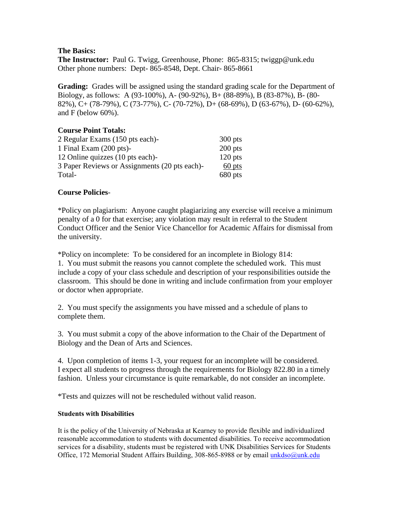# **The Basics:**

**The Instructor:** Paul G. Twigg, Greenhouse, Phone: 865-8315; twiggp@unk.edu Other phone numbers: Dept- 865-8548, Dept. Chair- 865-8661

**Grading:** Grades will be assigned using the standard grading scale for the Department of Biology, as follows: A (93-100%), A- (90-92%), B+ (88-89%), B (83-87%), B- (80- 82%), C+ (78-79%), C (73-77%), C- (70-72%), D+ (68-69%), D (63-67%), D- (60-62%), and F (below 60%).

# **Course Point Totals:**

| 2 Regular Exams (150 pts each)-               | $300$ pts |
|-----------------------------------------------|-----------|
| 1 Final Exam $(200 \text{ pts})$ -            | $200$ pts |
| 12 Online quizzes (10 pts each)-              | $120$ pts |
| 3 Paper Reviews or Assignments (20 pts each)- | 60 pts    |
| Total-                                        | 680 pts   |

# **Course Policies**-

\*Policy on plagiarism: Anyone caught plagiarizing any exercise will receive a minimum penalty of a 0 for that exercise; any violation may result in referral to the Student Conduct Officer and the Senior Vice Chancellor for Academic Affairs for dismissal from the university.

\*Policy on incomplete: To be considered for an incomplete in Biology 814: 1. You must submit the reasons you cannot complete the scheduled work. This must include a copy of your class schedule and description of your responsibilities outside the classroom. This should be done in writing and include confirmation from your employer or doctor when appropriate.

2. You must specify the assignments you have missed and a schedule of plans to complete them.

3. You must submit a copy of the above information to the Chair of the Department of Biology and the Dean of Arts and Sciences.

4. Upon completion of items 1-3, your request for an incomplete will be considered. I expect all students to progress through the requirements for Biology 822.80 in a timely fashion. Unless your circumstance is quite remarkable, do not consider an incomplete.

\*Tests and quizzes will not be rescheduled without valid reason.

## **Students with Disabilities**

It is the policy of the University of Nebraska at Kearney to provide flexible and individualized reasonable accommodation to students with documented disabilities. To receive accommodation services for a disability, students must be registered with UNK Disabilities Services for Students Office, 172 Memorial Student Affairs Building, 308-865-8988 or by email *unkdso@unk.edu*